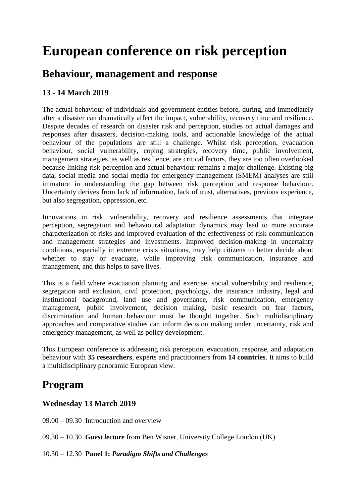# **European conference on risk perception**

# **Behaviour, management and response**

# **13 - 14 March 2019**

The actual behaviour of individuals and government entities before, during, and immediately after a disaster can dramatically affect the impact, vulnerability, recovery time and resilience. Despite decades of research on disaster risk and perception, studies on actual damages and responses after disasters, decision-making tools, and actionable knowledge of the actual behaviour of the populations are still a challenge. Whilst risk perception, evacuation behaviour, social vulnerability, coping strategies, recovery time, public involvement, management strategies, as well as resilience, are critical factors, they are too often overlooked because linking risk perception and actual behaviour remains a major challenge. Existing big data, social media and social media for emergency management (SMEM) analyses are still immature in understanding the gap between risk perception and response behaviour. Uncertainty derives from lack of information, lack of trust, alternatives, previous experience, but also segregation, oppression, etc.

Innovations in risk, vulnerability, recovery and resilience assessments that integrate perception, segregation and behavioural adaptation dynamics may lead to more accurate characterization of risks and improved evaluation of the effectiveness of risk communication and management strategies and investments. Improved decision-making in uncertainty conditions, especially in extreme crisis situations, may help citizens to better decide about whether to stay or evacuate, while improving risk communication, insurance and management, and this helps to save lives.

This is a field where evacuation planning and exercise, social vulnerability and resilience, segregation and exclusion, civil protection, psychology, the insurance industry, legal and institutional background, land use and governance, risk communication, emergency management, public involvement, decision making, basic research on fear factors, discrimination and human behaviour must be thought together. Such multidisciplinary approaches and comparative studies can inform decision making under uncertainty, risk and emergency management, as well as policy development.

This European conference is addressing risk perception, evacuation, response, and adaptation behaviour with **35 researchers**, experts and practitionners from **14 countries**. It aims to build a multidisciplinary panoramic European view.

# **Program**

# **Wednesday 13 March 2019**

09.00 – 09.30 Introduction and overview

09.30 – 10.30 *Guest lecture* from Ben Wisner, University College London (UK)

10.30 – 12.30 **Panel 1:** *Paradigm Shifts and Challenges*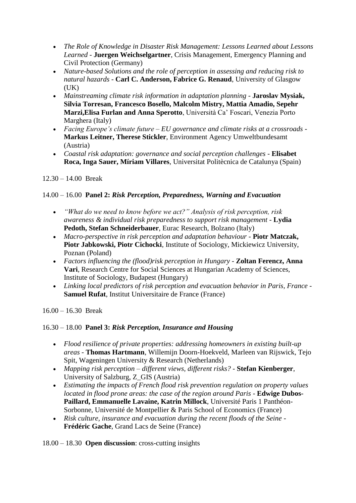- *The Role of Knowledge in Disaster Risk Management: Lessons Learned about Lessons Learned* - **Juergen Weichselgartner**, Crisis Management, Emergency Planning and Civil Protection (Germany)
- *Nature-based Solutions and the role of perception in assessing and reducing risk to natural hazards* - **Carl C. Anderson, Fabrice G. Renaud**, University of Glasgow  $(UK)$
- *Mainstreaming climate risk information in adaptation planning* **Jaroslav Mysiak, Silvia Torresan, Francesco Bosello, Malcolm Mistry, Mattia Amadio, Sepehr Marzi,Elisa Furlan and Anna Sperotto**, Università Ca' Foscari, Venezia Porto Marghera (Italy)
- *Facing Europe's climate future – EU governance and climate risks at a crossroads* **Markus Leitner, Therese Stickler**, Environment Agency Umweltbundesamt (Austria)
- *Coastal risk adaptation: governance and social perception challenges* **Elisabet Roca, Inga Sauer, Míriam Villares**, Universitat Politècnica de Catalunya (Spain)
- 12.30 14.00 Break

# 14.00 – 16.00 **Panel 2:** *Risk Perception, Preparedness, Warning and Evacuation*

- *"What do we need to know before we act?" Analysis of risk perception, risk awareness & individual risk preparedness to support risk management* - **Lydia Pedoth, Stefan Schneiderbauer**, Eurac Research, Bolzano (Italy)
- *Macro-perspective in risk perception and adaptation behaviour* **Piotr Matczak, Piotr Jabkowski, Piotr Cichocki**, Institute of Sociology, Mickiewicz University, Poznan (Poland)
- *Factors influencing the (flood)risk perception in Hungary* **Zoltan Ferencz, Anna Vari**, Research Centre for Social Sciences at Hungarian Academy of Sciences, Institute of Sociology, Budapest (Hungary)
- *Linking local predictors of risk perception and evacuation behavior in Paris, France* **Samuel Rufat**, Institut Universitaire de France (France)

16.00 – 16.30 Break

### 16.30 – 18.00 **Panel 3:** *Risk Perception, Insurance and Housing*

- *Flood resilience of private properties: addressing homeowners in existing built-up areas* - **Thomas Hartmann**, Willemijn Doorn-Hoekveld, Marleen van Rijswick, Tejo Spit, Wageningen University & Research (Netherlands)
- *Mapping risk perception – different views, different risks?* **Stefan Kienberger**, University of Salzburg, Z\_GIS (Austria)
- *Estimating the impacts of French flood risk prevention regulation on property values located in flood prone areas: the case of the region around Paris* - **Edwige Dubos-Paillard, Emmanuelle Lavaine, Katrin Millock**, Université Paris 1 Panthéon-Sorbonne, Université de Montpellier & Paris School of Economics (France)
- *Risk culture, insurance and evacuation during the recent floods of the Seine* **Frédéric Gache**, Grand Lacs de Seine (France)

18.00 – 18.30 **Open discussion**: cross-cutting insights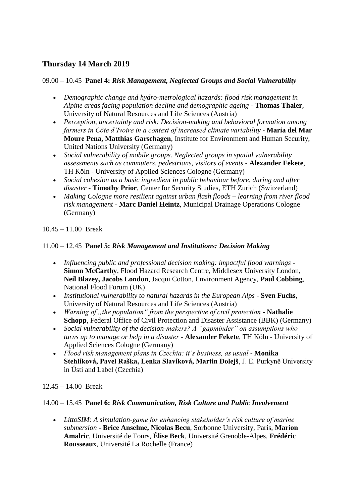# **Thursday 14 March 2019**

## 09.00 – 10.45 **Panel 4:** *Risk Management, Neglected Groups and Social Vulnerability*

- *Demographic change and hydro-metrological hazards: flood risk management in Alpine areas facing population decline and demographic ageing* - **Thomas Thaler**, University of Natural Resources and Life Sciences (Austria)
- *Perception, uncertainty and risk: Decision-making and behavioral formation among farmers in Côte d'Ivoire in a context of increased climate variability* - **Maria del Mar Moure Pena, Matthias Garschagen**, Institute for Environment and Human Security, United Nations University (Germany)
- *Social vulnerability of mobile groups. Neglected groups in spatial vulnerability assessments such as commuters, pedestrians, visitors of events* - **Alexander Fekete**, TH Köln - University of Applied Sciences Cologne (Germany)
- *Social cohesion as a basic ingredient in public behaviour before, during and after disaster* - **Timothy Prior**, Center for Security Studies, ETH Zurich (Switzerland)
- *Making Cologne more resilient against urban flash floods – learning from river flood risk management* - **Marc Daniel Heintz**, Municipal Drainage Operations Cologne (Germany)

10.45 – 11.00 Break

## 11.00 – 12.45 **Panel 5:** *Risk Management and Institutions: Decision Making*

- *Influencing public and professional decision making: impactful flood warnings* **Simon McCarthy**, Flood Hazard Research Centre, Middlesex University London, **Neil Blazey, Jacobs London**, Jacqui Cotton, Environment Agency, **Paul Cobbing**, National Flood Forum (UK)
- *Institutional vulnerability to natural hazards in the European Alps* **Sven Fuchs**, University of Natural Resources and Life Sciences (Austria)
- Warning of "the population" from the perspective of civil protection Nathalie **Schopp**, Federal Office of Civil Protection and Disaster Assistance (BBK) (Germany)
- *Social vulnerability of the decision-makers? A "gapminder" on assumptions who turns up to manage or help in a disaster* - **Alexander Fekete**, TH Köln - University of Applied Sciences Cologne (Germany)
- *Flood risk management plans in Czechia: it's business, as usual* **Monika Stehlíková, Pavel Raška, Lenka Slavíková, Martin Dolejš**, J. E. Purkyně University in Ústí and Label (Czechia)

12.45 – 14.00 Break

### 14.00 – 15.45 **Panel 6:** *Risk Communication, Risk Culture and Public Involvement*

 *LittoSIM: A simulation-game for enhancing stakeholder's risk culture of marine submersion* - **Brice Anselme, Nicolas Becu**, Sorbonne University, Paris, **Marion Amalric**, Université de Tours, **Élise Beck**, Université Grenoble-Alpes, **Frédéric Rousseaux**, Université La Rochelle (France)